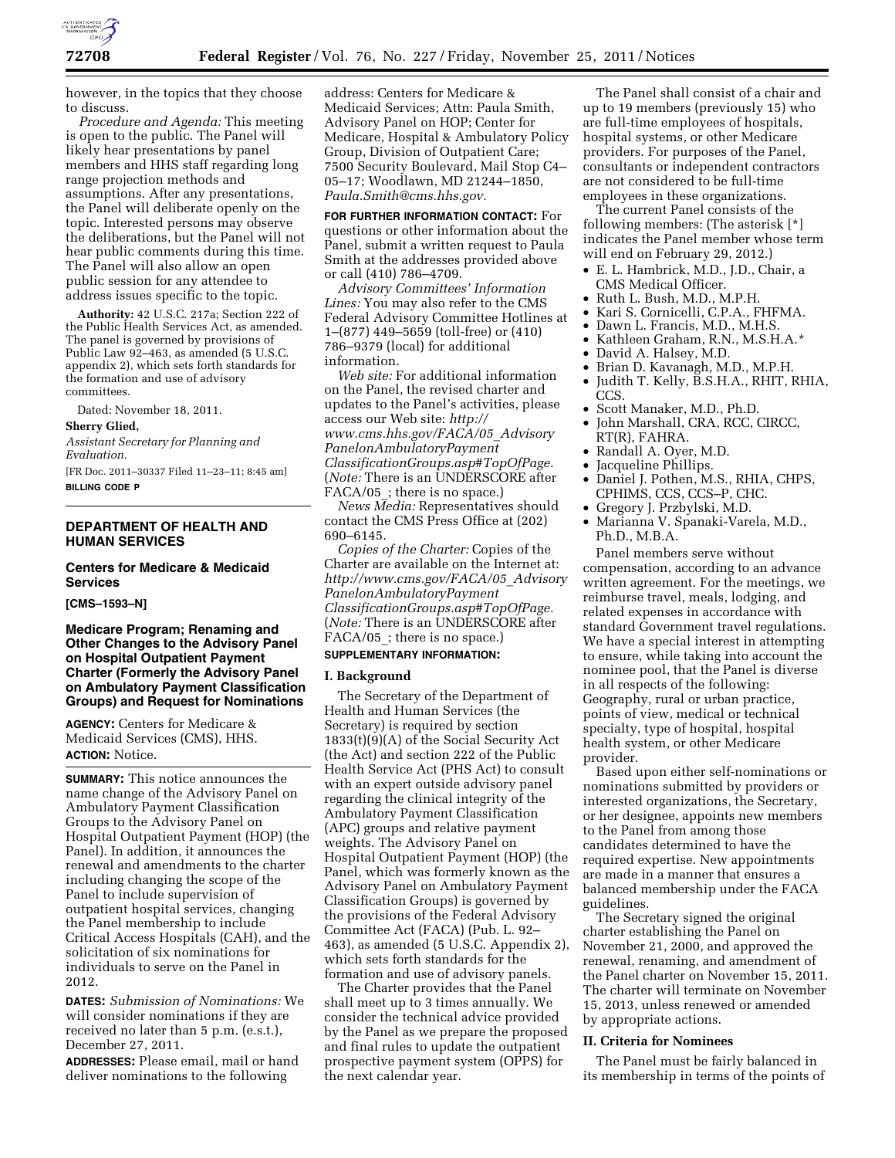

however, in the topics that they choose to discuss.

*Procedure and Agenda:* This meeting is open to the public. The Panel will likely hear presentations by panel members and HHS staff regarding long range projection methods and assumptions. After any presentations, the Panel will deliberate openly on the topic. Interested persons may observe the deliberations, but the Panel will not hear public comments during this time. The Panel will also allow an open public session for any attendee to address issues specific to the topic.

**Authority:** 42 U.S.C. 217a; Section 222 of the Public Health Services Act, as amended. The panel is governed by provisions of Public Law 92–463, as amended (5 U.S.C. appendix 2), which sets forth standards for the formation and use of advisory committees.

Dated: November 18, 2011.

# **Sherry Glied,**

*Assistant Secretary for Planning and Evaluation.* 

[FR Doc. 2011–30337 Filed 11–23–11; 8:45 am] **BILLING CODE P** 

### **DEPARTMENT OF HEALTH AND HUMAN SERVICES**

# **Centers for Medicare & Medicaid Services**

**[CMS–1593–N]** 

**Medicare Program; Renaming and Other Changes to the Advisory Panel on Hospital Outpatient Payment Charter (Formerly the Advisory Panel on Ambulatory Payment Classification Groups) and Request for Nominations** 

**AGENCY:** Centers for Medicare & Medicaid Services (CMS), HHS. **ACTION:** Notice.

**SUMMARY:** This notice announces the name change of the Advisory Panel on Ambulatory Payment Classification Groups to the Advisory Panel on Hospital Outpatient Payment (HOP) (the Panel). In addition, it announces the renewal and amendments to the charter including changing the scope of the Panel to include supervision of outpatient hospital services, changing the Panel membership to include Critical Access Hospitals (CAH), and the solicitation of six nominations for individuals to serve on the Panel in 2012.

**DATES:** *Submission of Nominations:* We will consider nominations if they are received no later than 5 p.m. (e.s.t.), December 27, 2011.

**ADDRESSES:** Please email, mail or hand deliver nominations to the following

address: Centers for Medicare & Medicaid Services; Attn: Paula Smith, Advisory Panel on HOP; Center for Medicare, Hospital & Ambulatory Policy Group, Division of Outpatient Care; 7500 Security Boulevard, Mail Stop C4– 05–17; Woodlawn, MD 21244–1850, *[Paula.Smith@cms.hhs.gov.](mailto:Paula.Smith@cms.hhs.gov)* 

**FOR FURTHER INFORMATION CONTACT:** For questions or other information about the Panel, submit a written request to Paula Smith at the addresses provided above or call (410) 786–4709.

*Advisory Committees' Information Lines:* You may also refer to the CMS Federal Advisory Committee Hotlines at 1–(877) 449–5659 (toll-free) or (410) 786–9379 (local) for additional information.

*Web site:* For additional information on the Panel, the revised charter and updates to the Panel's activities, please access our Web site: *[http://](http://www.cms.hhs.gov/FACA/05_AdvisoryPanelonAmbulatoryPaymentClassificationGroups.asp#TopOfPage) [www.cms.hhs.gov/FACA/05](http://www.cms.hhs.gov/FACA/05_AdvisoryPanelonAmbulatoryPaymentClassificationGroups.asp#TopOfPage)*\_*Advisory [PanelonAmbulatoryPayment](http://www.cms.hhs.gov/FACA/05_AdvisoryPanelonAmbulatoryPaymentClassificationGroups.asp#TopOfPage) [ClassificationGroups.asp#TopOfPage.](http://www.cms.hhs.gov/FACA/05_AdvisoryPanelonAmbulatoryPaymentClassificationGroups.asp#TopOfPage)*  (*Note:* There is an UNDERSCORE after FACA/05; there is no space.)

*News Media:* Representatives should contact the CMS Press Office at (202) 690–6145.

*Copies of the Charter:* Copies of the Charter are available on the Internet at: *[http://www.cms.gov/FACA/05](http://www.cms.gov/FACA/05_AdvisoryPanelonAmbulatoryPaymentClassificationGroups.asp#TopOfPage)*\_*Advisory [PanelonAmbulatoryPayment](http://www.cms.gov/FACA/05_AdvisoryPanelonAmbulatoryPaymentClassificationGroups.asp#TopOfPage) [ClassificationGroups.asp#TopOfPage.](http://www.cms.gov/FACA/05_AdvisoryPanelonAmbulatoryPaymentClassificationGroups.asp#TopOfPage)*  (*Note:* There is an UNDERSCORE after FACA/05; there is no space.)

#### **SUPPLEMENTARY INFORMATION:**

#### **I. Background**

The Secretary of the Department of Health and Human Services (the Secretary) is required by section 1833(t)(9)(A) of the Social Security Act (the Act) and section 222 of the Public Health Service Act (PHS Act) to consult with an expert outside advisory panel regarding the clinical integrity of the Ambulatory Payment Classification (APC) groups and relative payment weights. The Advisory Panel on Hospital Outpatient Payment (HOP) (the Panel, which was formerly known as the Advisory Panel on Ambulatory Payment Classification Groups) is governed by the provisions of the Federal Advisory Committee Act (FACA) (Pub. L. 92– 463), as amended (5 U.S.C. Appendix 2), which sets forth standards for the formation and use of advisory panels.

The Charter provides that the Panel shall meet up to 3 times annually. We consider the technical advice provided by the Panel as we prepare the proposed and final rules to update the outpatient prospective payment system (OPPS) for the next calendar year.

The Panel shall consist of a chair and up to 19 members (previously 15) who are full-time employees of hospitals, hospital systems, or other Medicare providers. For purposes of the Panel, consultants or independent contractors are not considered to be full-time employees in these organizations.

The current Panel consists of the following members: (The asterisk [\*] indicates the Panel member whose term will end on February 29, 2012.)

- E. L. Hambrick, M.D., J.D., Chair, a CMS Medical Officer.
- Ruth L. Bush, M.D., M.P.H.
- Kari S. Cornicelli, C.P.A., FHFMA.
- Dawn L. Francis, M.D., M.H.S.
- Kathleen Graham, R.N., M.S.H.A.\*
- David A. Halsey, M.D.
- Brian D. Kavanagh, M.D., M.P.H.
- Judith T. Kelly, B.S.H.A., RHIT, RHIA, CCS.
- Scott Manaker, M.D., Ph.D.
- John Marshall, CRA, RCC, CIRCC, RT(R), FAHRA.
- Randall A. Oyer, M.D.
- Jacqueline Phillips.
- Daniel J. Pothen, M.S., RHIA, CHPS, CPHIMS, CCS, CCS–P, CHC.
- Gregory J. Przbylski, M.D.
- Marianna V. Spanaki-Varela, M.D., Ph.D., M.B.A.

Panel members serve without compensation, according to an advance written agreement. For the meetings, we reimburse travel, meals, lodging, and related expenses in accordance with standard Government travel regulations. We have a special interest in attempting to ensure, while taking into account the nominee pool, that the Panel is diverse in all respects of the following: Geography, rural or urban practice, points of view, medical or technical specialty, type of hospital, hospital health system, or other Medicare provider.

Based upon either self-nominations or nominations submitted by providers or interested organizations, the Secretary, or her designee, appoints new members to the Panel from among those candidates determined to have the required expertise. New appointments are made in a manner that ensures a balanced membership under the FACA guidelines.

The Secretary signed the original charter establishing the Panel on November 21, 2000, and approved the renewal, renaming, and amendment of the Panel charter on November 15, 2011. The charter will terminate on November 15, 2013, unless renewed or amended by appropriate actions.

## **II. Criteria for Nominees**

The Panel must be fairly balanced in its membership in terms of the points of